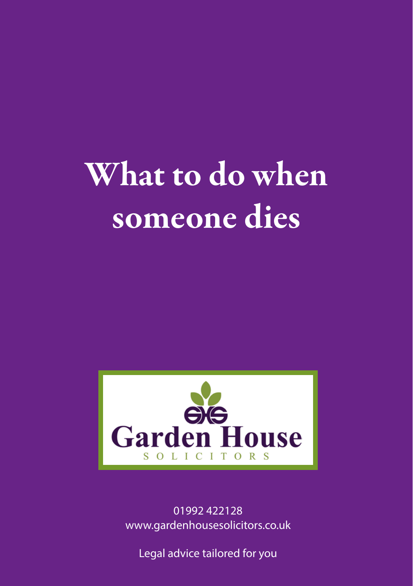# What to do when someone dies



01992 422128 www.gardenhousesolicitors.co.uk

Legal advice tailored for you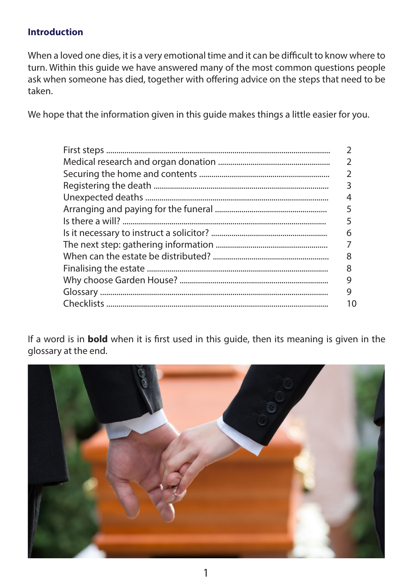# **Introduction**

When a loved one dies, it is a very emotional time and it can be difficult to know where to turn. Within this guide we have answered many of the most common questions people ask when someone has died, together with offering advice on the steps that need to be taken.

We hope that the information given in this guide makes things a little easier for you.

| 6  |
|----|
|    |
| 8  |
| 8  |
| 9  |
| 9  |
| 10 |
|    |

If a word is in **bold** when it is first used in this guide, then its meaning is given in the glossary at the end.

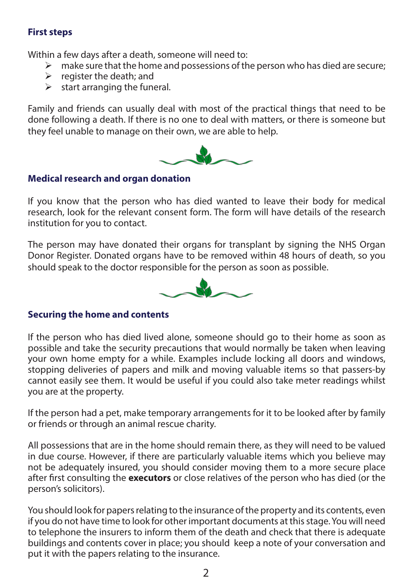# **First steps**

Within a few days after a death, someone will need to:

- $\triangleright$  make sure that the home and possessions of the person who has died are secure;
- $\triangleright$  register the death; and
- $\triangleright$  start arranging the funeral.

Family and friends can usually deal with most of the practical things that need to be done following a death. If there is no one to deal with matters, or there is someone but they feel unable to manage on their own, we are able to help.



# **Medical research and organ donation**

If you know that the person who has died wanted to leave their body for medical research, look for the relevant consent form. The form will have details of the research institution for you to contact.

The person may have donated their organs for transplant by signing the NHS Organ Donor Register. Donated organs have to be removed within 48 hours of death, so you should speak to the doctor responsible for the person as soon as possible.



# **Securing the home and contents**

If the person who has died lived alone, someone should go to their home as soon as possible and take the security precautions that would normally be taken when leaving your own home empty for a while. Examples include locking all doors and windows, stopping deliveries of papers and milk and moving valuable items so that passers-by cannot easily see them. It would be useful if you could also take meter readings whilst you are at the property.

If the person had a pet, make temporary arrangements for it to be looked after by family or friends or through an animal rescue charity.

All possessions that are in the home should remain there, as they will need to be valued in due course. However, if there are particularly valuable items which you believe may not be adequately insured, you should consider moving them to a more secure place after first consulting the **executors** or close relatives of the person who has died (or the person's solicitors).

You should look for papers relating to the insurance of the property and its contents, even if you do not have time to look for other important documents at this stage. You will need to telephone the insurers to inform them of the death and check that there is adequate buildings and contents cover in place; you should keep a note of your conversation and put it with the papers relating to the insurance.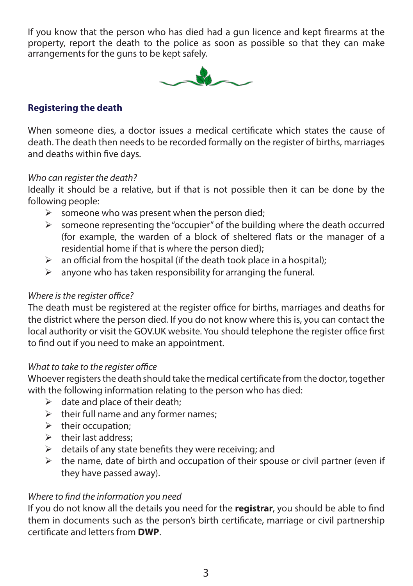If you know that the person who has died had a gun licence and kept firearms at the property, report the death to the police as soon as possible so that they can make arrangements for the guns to be kept safely.



# **Registering the death**

When someone dies, a doctor issues a medical certificate which states the cause of death. The death then needs to be recorded formally on the register of births, marriages and deaths within five days.

#### *Who can register the death?*

Ideally it should be a relative, but if that is not possible then it can be done by the following people:

- $\triangleright$  someone who was present when the person died;
- $\geq$  someone representing the "occupier" of the building where the death occurred (for example, the warden of a block of sheltered flats or the manager of a residential home if that is where the person died);
- $\triangleright$  an official from the hospital (if the death took place in a hospital);
- $\geq$  anyone who has taken responsibility for arranging the funeral.

#### *Where is the register office?*

The death must be registered at the register office for births, marriages and deaths for the district where the person died. If you do not know where this is, you can contact the local authority or visit the GOV.UK website. You should telephone the register office first to find out if you need to make an appointment.

#### *What to take to the register office*

Whoever registers the death should take the medical certificate from the doctor, together with the following information relating to the person who has died:

- $\triangleright$  date and place of their death:
- $\triangleright$  their full name and any former names;
- $\triangleright$  their occupation:
- ¾ their last address;
- $\triangleright$  details of any state benefits they were receiving; and
- $\geq$  the name, date of birth and occupation of their spouse or civil partner (even if they have passed away).

# *Where to find the information you need*

If you do not know all the details you need for the **registrar**, you should be able to find them in documents such as the person's birth certificate, marriage or civil partnership certificate and letters from **DWP**.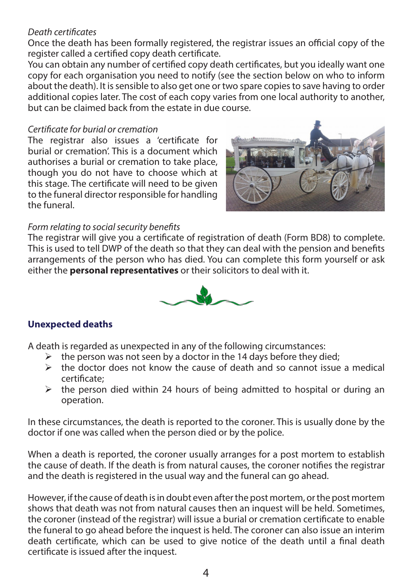#### *Death certificates*

Once the death has been formally registered, the registrar issues an official copy of the register called a certified copy death certificate.

You can obtain any number of certified copy death certificates, but you ideally want one copy for each organisation you need to notify (see the section below on who to inform about the death). It is sensible to also get one or two spare copies to save having to order additional copies later. The cost of each copy varies from one local authority to another, but can be claimed back from the estate in due course.

#### *Certificate for burial or cremation*

The registrar also issues a 'certificate for burial or cremation'. This is a document which authorises a burial or cremation to take place, though you do not have to choose which at this stage. The certificate will need to be given to the funeral director responsible for handling the funeral.



#### *Form relating to social security benefits*

The registrar will give you a certificate of registration of death (Form BD8) to complete. This is used to tell DWP of the death so that they can deal with the pension and benefits arrangements of the person who has died. You can complete this form yourself or ask either the **personal representatives** or their solicitors to deal with it.



# **Unexpected deaths**

A death is regarded as unexpected in any of the following circumstances:

- $\triangleright$  the person was not seen by a doctor in the 14 days before they died:
- $\triangleright$  the doctor does not know the cause of death and so cannot issue a medical certificate;
- $\triangleright$  the person died within 24 hours of being admitted to hospital or during an operation.

In these circumstances, the death is reported to the coroner. This is usually done by the doctor if one was called when the person died or by the police.

When a death is reported, the coroner usually arranges for a post mortem to establish the cause of death. If the death is from natural causes, the coroner notifies the registrar and the death is registered in the usual way and the funeral can go ahead.

However, if the cause of death is in doubt even after the post mortem, or the post mortem shows that death was not from natural causes then an inquest will be held. Sometimes, the coroner (instead of the registrar) will issue a burial or cremation certificate to enable the funeral to go ahead before the inquest is held. The coroner can also issue an interim death certificate, which can be used to give notice of the death until a final death certificate is issued after the inquest.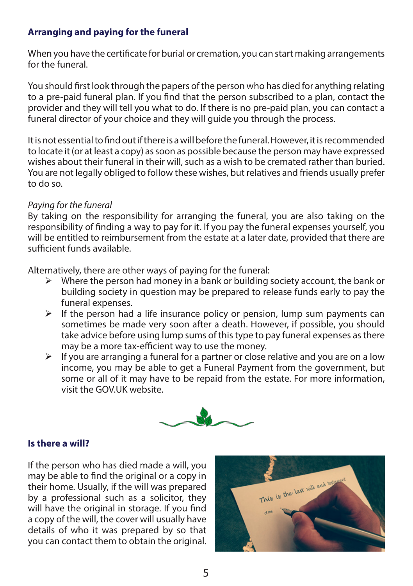# **Arranging and paying for the funeral**

When you have the certificate for burial or cremation, you can start making arrangements for the funeral.

You should first look through the papers of the person who has died for anything relating to a pre-paid funeral plan. If you find that the person subscribed to a plan, contact the provider and they will tell you what to do. If there is no pre-paid plan, you can contact a funeral director of your choice and they will guide you through the process.

It is not essential to find out if there is a will before the funeral. However, it is recommended to locate it (or at least a copy) as soon as possible because the person may have expressed wishes about their funeral in their will, such as a wish to be cremated rather than buried. You are not legally obliged to follow these wishes, but relatives and friends usually prefer to do so.

#### *Paying for the funeral*

By taking on the responsibility for arranging the funeral, you are also taking on the responsibility of finding a way to pay for it. If you pay the funeral expenses yourself, you will be entitled to reimbursement from the estate at a later date, provided that there are sufficient funds available.

Alternatively, there are other ways of paying for the funeral:

- $\triangleright$  Where the person had money in a bank or building society account, the bank or building society in question may be prepared to release funds early to pay the funeral expenses.
- $\triangleright$  If the person had a life insurance policy or pension, lump sum payments can sometimes be made very soon after a death. However, if possible, you should take advice before using lump sums of this type to pay funeral expenses as there may be a more tax-efficient way to use the money.
- $\triangleright$  If you are arranging a funeral for a partner or close relative and you are on a low income, you may be able to get a Funeral Payment from the government, but some or all of it may have to be repaid from the estate. For more information, visit the GOV.UK website.



#### **Is there a will?**

If the person who has died made a will, you may be able to find the original or a copy in their home. Usually, if the will was prepared by a professional such as a solicitor, they will have the original in storage. If you find a copy of the will, the cover will usually have details of who it was prepared by so that you can contact them to obtain the original.

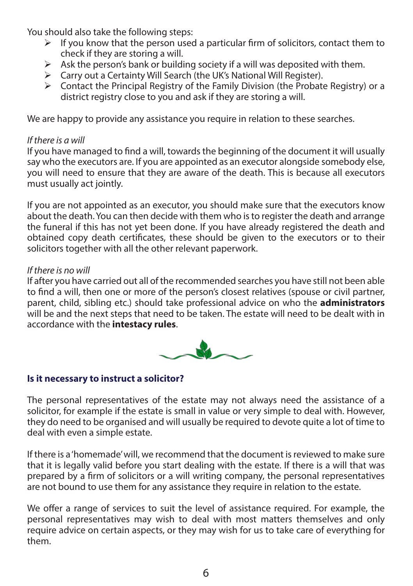You should also take the following steps:<br>If you know that the person used

- If you know that the person used a particular firm of solicitors, contact them to check if they are storing a will.
- $\triangleright$  Ask the person's bank or building society if a will was deposited with them.
- ¾ Carry out a Certainty Will Search (the UK's National Will Register).
- $\triangleright$  Contact the Principal Registry of the Family Division (the Probate Registry) or a district registry close to you and ask if they are storing a will.

We are happy to provide any assistance you require in relation to these searches.

# *If there is a will*

If you have managed to find a will, towards the beginning of the document it will usually say who the executors are. If you are appointed as an executor alongside somebody else, you will need to ensure that they are aware of the death. This is because all executors must usually act jointly.

If you are not appointed as an executor, you should make sure that the executors know about the death. You can then decide with them who is to register the death and arrange the funeral if this has not yet been done. If you have already registered the death and obtained copy death certificates, these should be given to the executors or to their solicitors together with all the other relevant paperwork.

# *If there is no will*

If after you have carried out all of the recommended searches you have still not been able to find a will, then one or more of the person's closest relatives (spouse or civil partner, parent, child, sibling etc.) should take professional advice on who the **administrators** will be and the next steps that need to be taken. The estate will need to be dealt with in accordance with the **intestacy rules**.



# **Is it necessary to instruct a solicitor?**

The personal representatives of the estate may not always need the assistance of a solicitor, for example if the estate is small in value or very simple to deal with. However, they do need to be organised and will usually be required to devote quite a lot of time to deal with even a simple estate.

If there is a 'homemade' will, we recommend that the document is reviewed to make sure that it is legally valid before you start dealing with the estate. If there is a will that was prepared by a firm of solicitors or a will writing company, the personal representatives are not bound to use them for any assistance they require in relation to the estate.

We offer a range of services to suit the level of assistance required. For example, the personal representatives may wish to deal with most matters themselves and only require advice on certain aspects, or they may wish for us to take care of everything for them.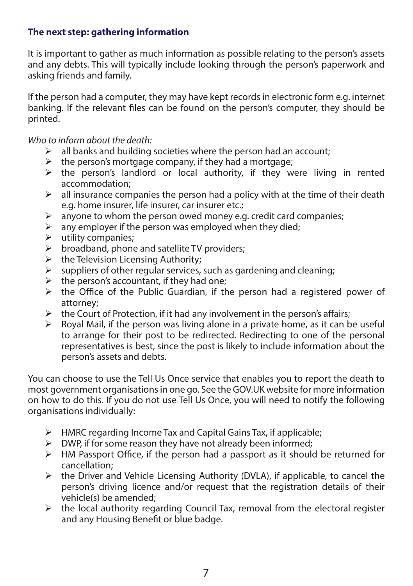# **The next step: gathering information**

It is important to gather as much information as possible relating to the person's assets and any debts. This will typically include looking through the person's paperwork and asking friends and family.

If the person had a computer, they may have kept records in electronic form e.g. internet banking. If the relevant files can be found on the person's computer, they should be printed.

*Who to inform about the death:*

- $\triangleright$  all banks and building societies where the person had an account;
- $\triangleright$  the person's mortgage company, if they had a mortgage;
- $\triangleright$  the person's landlord or local authority, if they were living in rented accommodation;
- $\triangleright$  all insurance companies the person had a policy with at the time of their death e.g. home insurer, life insurer, car insurer etc.;
- $\triangleright$  anyone to whom the person owed money e.g. credit card companies;
- $\triangleright$  any employer if the person was employed when they died;
- $\blacktriangleright$  utility companies;
- $\triangleright$  broadband, phone and satellite TV providers;
- $\triangleright$  the Television Licensing Authority;
- $\triangleright$  suppliers of other regular services, such as gardening and cleaning;
- $\triangleright$  the person's accountant, if they had one;
- $\triangleright$  the Office of the Public Guardian, if the person had a registered power of attorney;
- $\triangleright$  the Court of Protection, if it had any involvement in the person's affairs;
- $\triangleright$  Royal Mail, if the person was living alone in a private home, as it can be useful to arrange for their post to be redirected. Redirecting to one of the personal representatives is best, since the post is likely to include information about the person's assets and debts.

You can choose to use the Tell Us Once service that enables you to report the death to most government organisations in one go. See the GOV.UK website for more information on how to do this. If you do not use Tell Us Once, you will need to notify the following organisations individually:

- $\triangleright$  HMRC regarding Income Tax and Capital Gains Tax, if applicable;
- $\triangleright$  DWP, if for some reason they have not already been informed;
- $\triangleright$  HM Passport Office, if the person had a passport as it should be returned for cancellation;
- $\triangleright$  the Driver and Vehicle Licensing Authority (DVLA), if applicable, to cancel the person's driving licence and/or request that the registration details of their vehicle(s) be amended;
- $\triangleright$  the local authority regarding Council Tax, removal from the electoral register and any Housing Benefit or blue badge.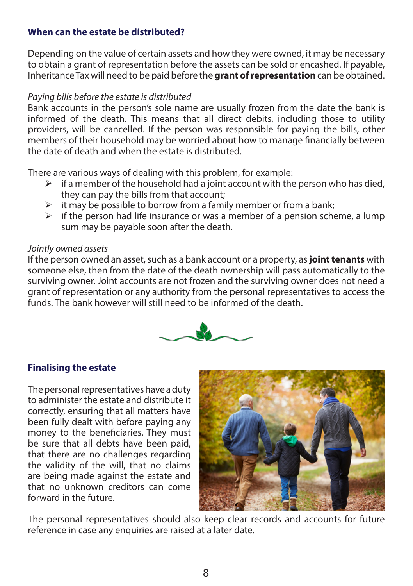#### **When can the estate be distributed?**

Depending on the value of certain assets and how they were owned, it may be necessary to obtain a grant of representation before the assets can be sold or encashed. If payable, Inheritance Tax will need to be paid before the **grant of representation** can be obtained.

#### *Paying bills before the estate is distributed*

Bank accounts in the person's sole name are usually frozen from the date the bank is informed of the death. This means that all direct debits, including those to utility providers, will be cancelled. If the person was responsible for paying the bills, other members of their household may be worried about how to manage financially between the date of death and when the estate is distributed.

There are various ways of dealing with this problem, for example:

- $\triangleright$  if a member of the household had a joint account with the person who has died, they can pay the bills from that account;
- $\triangleright$  it may be possible to borrow from a family member or from a bank;
- $\triangleright$  if the person had life insurance or was a member of a pension scheme, a lump sum may be payable soon after the death.

#### *Jointly owned assets*

If the person owned an asset, such as a bank account or a property, as **joint tenants** with someone else, then from the date of the death ownership will pass automatically to the surviving owner. Joint accounts are not frozen and the surviving owner does not need a grant of representation or any authority from the personal representatives to access the funds. The bank however will still need to be informed of the death.



#### **Finalising the estate**

The personal representatives have a duty to administer the estate and distribute it correctly, ensuring that all matters have been fully dealt with before paying any money to the beneficiaries. They must be sure that all debts have been paid, that there are no challenges regarding the validity of the will, that no claims are being made against the estate and that no unknown creditors can come forward in the future.



The personal representatives should also keep clear records and accounts for future reference in case any enquiries are raised at a later date.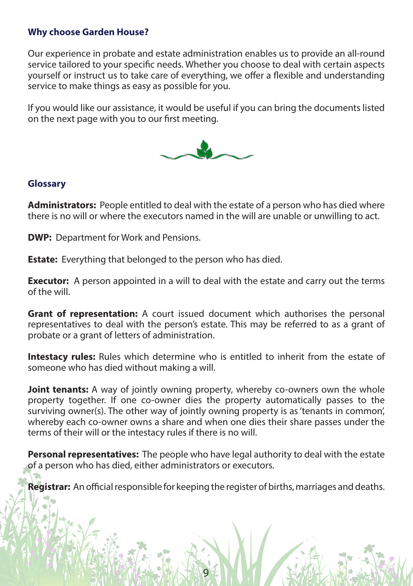#### **Why choose Garden House?**

Our experience in probate and estate administration enables us to provide an all-round service tailored to your specific needs. Whether you choose to deal with certain aspects yourself or instruct us to take care of everything, we offer a flexible and understanding service to make things as easy as possible for you.

If you would like our assistance, it would be useful if you can bring the documents listed on the next page with you to our first meeting.



#### **Glossary**

**Administrators:** People entitled to deal with the estate of a person who has died where there is no will or where the executors named in the will are unable or unwilling to act.

**DWP:** Department for Work and Pensions.

**Estate:** Everything that belonged to the person who has died.

**Executor:** A person appointed in a will to deal with the estate and carry out the terms of the will.

**Grant of representation:** A court issued document which authorises the personal representatives to deal with the person's estate. This may be referred to as a grant of probate or a grant of letters of administration.

**Intestacy rules:** Rules which determine who is entitled to inherit from the estate of someone who has died without making a will.

**Joint tenants:** A way of jointly owning property, whereby co-owners own the whole property together. If one co-owner dies the property automatically passes to the surviving owner(s). The other way of jointly owning property is as 'tenants in common', whereby each co-owner owns a share and when one dies their share passes under the terms of their will or the intestacy rules if there is no will.

**Personal representatives:** The people who have legal authority to deal with the estate of a person who has died, either administrators or executors.

**Registrar:** An official responsible for keeping the register of births, marriages and deaths.

9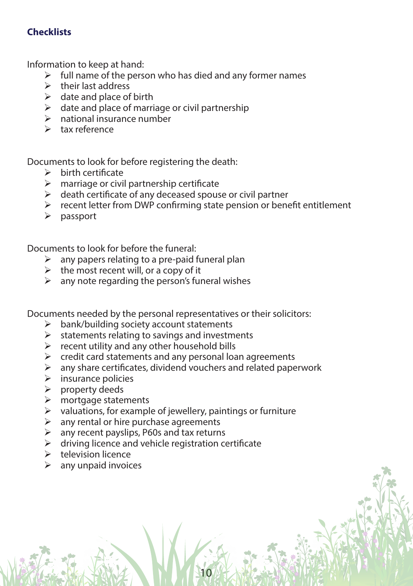# **Checklists**

Information to keep at hand:

- $\triangleright$  full name of the person who has died and any former names
- $\triangleright$  their last address
- $\triangleright$  date and place of birth
- $\triangleright$  date and place of marriage or civil partnership
- $\triangleright$  national insurance number
- $\triangleright$  tax reference

Documents to look for before registering the death:

- $\triangleright$  birth certificate
- $\triangleright$  marriage or civil partnership certificate
- $\triangleright$  death certificate of any deceased spouse or civil partner
- $\triangleright$  recent letter from DWP confirming state pension or benefit entitlement
- $\triangleright$  passport

Documents to look for before the funeral:

- $\triangleright$  any papers relating to a pre-paid funeral plan
- $\triangleright$  the most recent will, or a copy of it
- $\triangleright$  any note regarding the person's funeral wishes

Documents needed by the personal representatives or their solicitors:

- $\triangleright$  bank/building society account statements
- $\triangleright$  statements relating to savings and investments
- $\triangleright$  recent utility and any other household bills
- $\triangleright$  credit card statements and any personal loan agreements
- $\triangleright$  any share certificates, dividend vouchers and related paperwork

10

- $\triangleright$  insurance policies
- $\triangleright$  property deeds
- $\triangleright$  mortgage statements
- $\triangleright$  valuations, for example of jewellery, paintings or furniture
- $\triangleright$  any rental or hire purchase agreements
- $\triangleright$  any recent payslips, P60s and tax returns
- $\triangleright$  driving licence and vehicle registration certificate
- $\triangleright$  television licence
- $\triangleright$  any unpaid invoices